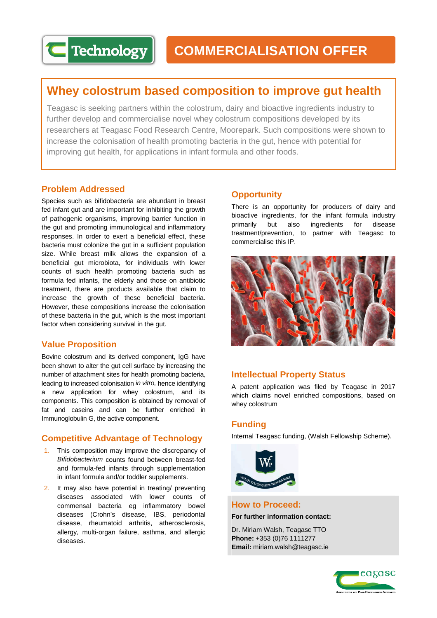# **Whey colostrum based composition to improve gut health**

Teagasc is seeking partners within the colostrum, dairy and bioactive ingredients industry to further develop and commercialise novel whey colostrum compositions developed by its researchers at Teagasc Food Research Centre, Moorepark. Such compositions were shown to increase the colonisation of health promoting bacteria in the gut, hence with potential for improving gut health, for applications in infant formula and other foods.

# **Problem Addressed**

Species such as bifidobacteria are abundant in breast fed infant gut and are important for inhibiting the growth of pathogenic organisms, improving barrier function in the gut and promoting immunological and inflammatory responses. In order to exert a beneficial effect, these bacteria must colonize the gut in a sufficient population size. While breast milk allows the expansion of a beneficial gut microbiota, for individuals with lower counts of such health promoting bacteria such as formula fed infants, the elderly and those on antibiotic treatment, there are products available that claim to increase the growth of these beneficial bacteria. However, these compositions increase the colonisation of these bacteria in the gut, which is the most important factor when considering survival in the gut.

# **Value Proposition**

Bovine colostrum and its derived component, IgG have been shown to alter the gut cell surface by increasing the number of attachment sites for health promoting bacteria, leading to increased colonisation *in vitro,* hence identifying a new application for whey colostrum, and its components. This composition is obtained by removal of fat and caseins and can be further enriched in Immunoglobulin G, the active component.

# **Competitive Advantage of Technology**

- 1. This composition may improve the discrepancy of *Bifidobacterium* counts found between breast-fed and formula-fed infants through supplementation in infant formula and/or toddler supplements.
- 2. It may also have potential in treating/ preventing diseases associated with lower counts of commensal bacteria eg inflammatory bowel diseases (Crohn's disease, IBS, periodontal disease, rheumatoid arthritis, atherosclerosis, allergy, multi-organ failure, asthma, and allergic diseases.

# **Opportunity**

There is an opportunity for producers of dairy and bioactive ingredients, for the infant formula industry primarily but also ingredients for disease treatment/prevention, to partner with Teagasc to commercialise this IP.



## **Intellectual Property Status**

A patent application was filed by Teagasc in 2017 which claims novel enriched compositions, based on whey colostrum

## **Funding**

Internal Teagasc funding, (Walsh Fellowship Scheme).



## **How to Proceed:**

**For further information contact:**

Dr. Miriam Walsh, Teagasc TTO **Phone:** +353 (0)76 1111277 **Email:** miriam.walsh@teagasc.ie